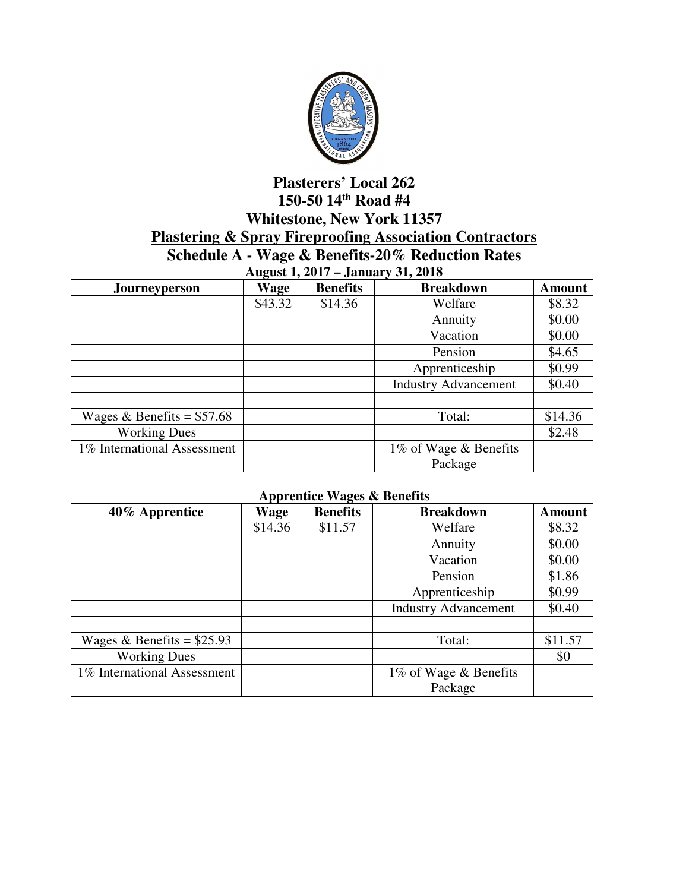

## **Plasterers' Local 262 150-50 14th Road #4 Whitestone, New York 11357 Plastering & Spray Fireproofing Association Contractors Schedule A - Wage & Benefits-20% Reduction Rates**

| <b>August 1, 2017 – January 31, 2018</b> |         |                 |                             |               |  |
|------------------------------------------|---------|-----------------|-----------------------------|---------------|--|
| <b>Journeyperson</b>                     | Wage    | <b>Benefits</b> | <b>Breakdown</b>            | <b>Amount</b> |  |
|                                          | \$43.32 | \$14.36         | Welfare                     | \$8.32        |  |
|                                          |         |                 | Annuity                     | \$0.00        |  |
|                                          |         |                 | Vacation                    | \$0.00        |  |
|                                          |         |                 | Pension                     | \$4.65        |  |
|                                          |         |                 | Apprenticeship              | \$0.99        |  |
|                                          |         |                 | <b>Industry Advancement</b> | \$0.40        |  |
|                                          |         |                 |                             |               |  |
| Wages & Benefits = $$57.68$              |         |                 | Total:                      | \$14.36       |  |
| <b>Working Dues</b>                      |         |                 |                             | \$2.48        |  |
| 1% International Assessment              |         |                 | 1% of Wage & Benefits       |               |  |
|                                          |         |                 | Package                     |               |  |

## **Apprentice Wages & Benefits**

| 40% Apprentice              | Wage    | <b>Benefits</b> | <b>Breakdown</b>            | <b>Amount</b> |
|-----------------------------|---------|-----------------|-----------------------------|---------------|
|                             | \$14.36 | \$11.57         | Welfare                     | \$8.32        |
|                             |         |                 | Annuity                     | \$0.00        |
|                             |         |                 | Vacation                    | \$0.00        |
|                             |         |                 | Pension                     | \$1.86        |
|                             |         |                 | Apprenticeship              | \$0.99        |
|                             |         |                 | <b>Industry Advancement</b> | \$0.40        |
|                             |         |                 |                             |               |
| Wages & Benefits = $$25.93$ |         |                 | Total:                      | \$11.57       |
| <b>Working Dues</b>         |         |                 |                             | \$0           |
| 1% International Assessment |         |                 | 1% of Wage & Benefits       |               |
|                             |         |                 | Package                     |               |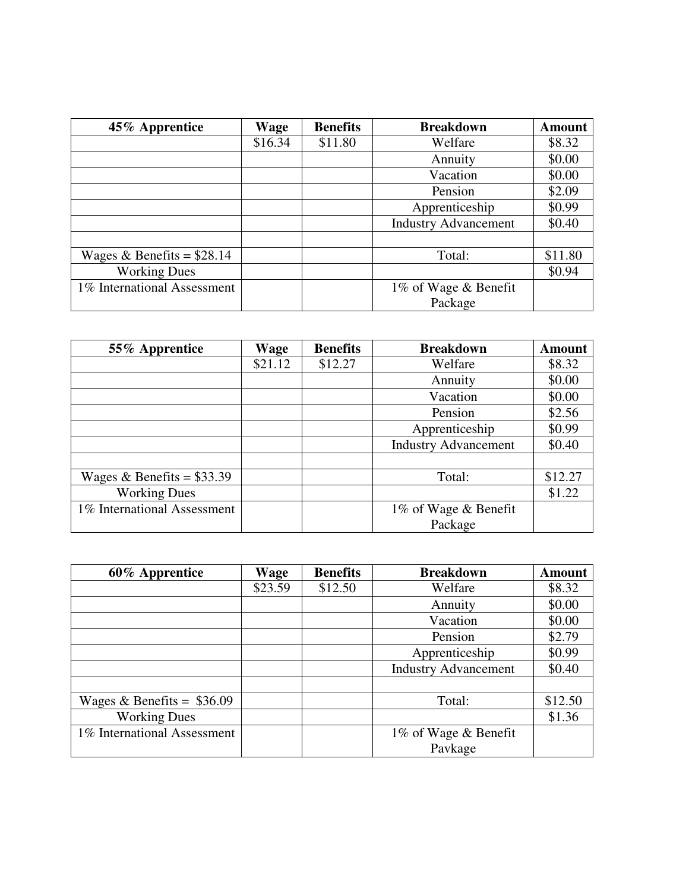| 45% Apprentice              | Wage    | <b>Benefits</b> | <b>Breakdown</b>            | <b>Amount</b> |
|-----------------------------|---------|-----------------|-----------------------------|---------------|
|                             | \$16.34 | \$11.80         | Welfare                     | \$8.32        |
|                             |         |                 | Annuity                     | \$0.00        |
|                             |         |                 | Vacation                    | \$0.00        |
|                             |         |                 | Pension                     | \$2.09        |
|                             |         |                 | Apprenticeship              | \$0.99        |
|                             |         |                 | <b>Industry Advancement</b> | \$0.40        |
|                             |         |                 |                             |               |
| Wages & Benefits = $$28.14$ |         |                 | Total:                      | \$11.80       |
| <b>Working Dues</b>         |         |                 |                             | \$0.94        |
| 1% International Assessment |         |                 | 1% of Wage & Benefit        |               |
|                             |         |                 | Package                     |               |

| 55% Apprentice              | Wage    | <b>Benefits</b> | <b>Breakdown</b>            | <b>Amount</b> |
|-----------------------------|---------|-----------------|-----------------------------|---------------|
|                             | \$21.12 | \$12.27         | Welfare                     | \$8.32        |
|                             |         |                 | Annuity                     | \$0.00        |
|                             |         |                 | Vacation                    | \$0.00        |
|                             |         |                 | Pension                     | \$2.56        |
|                             |         |                 | Apprenticeship              | \$0.99        |
|                             |         |                 | <b>Industry Advancement</b> | \$0.40        |
|                             |         |                 |                             |               |
| Wages & Benefits = $$33.39$ |         |                 | Total:                      | \$12.27       |
| <b>Working Dues</b>         |         |                 |                             | \$1.22        |
| 1% International Assessment |         |                 | 1\% of Wage & Benefit       |               |
|                             |         |                 | Package                     |               |

| 60% Apprentice              | Wage    | <b>Benefits</b> | <b>Breakdown</b>            | <b>Amount</b> |
|-----------------------------|---------|-----------------|-----------------------------|---------------|
|                             | \$23.59 | \$12.50         | Welfare                     | \$8.32        |
|                             |         |                 | Annuity                     | \$0.00        |
|                             |         |                 | Vacation                    | \$0.00        |
|                             |         |                 | Pension                     | \$2.79        |
|                             |         |                 | Apprenticeship              | \$0.99        |
|                             |         |                 | <b>Industry Advancement</b> | \$0.40        |
|                             |         |                 |                             |               |
| Wages & Benefits = $$36.09$ |         |                 | Total:                      | \$12.50       |
| <b>Working Dues</b>         |         |                 |                             | \$1.36        |
| 1% International Assessment |         |                 | 1% of Wage & Benefit        |               |
|                             |         |                 | Pavkage                     |               |